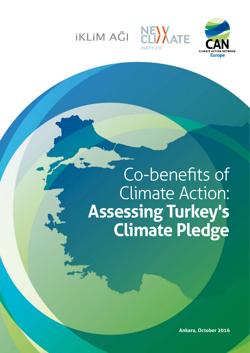

**iKLiM AGI** 



# Co-benefits of Climate Action: **Assessing Turkey's Climate Pledge**

**Ankara, October 2016**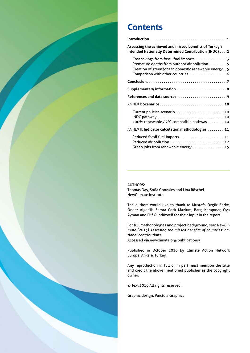

# **Contents**

| Assessing the achieved and missed benefits of Turkey's<br>Intended Nationally Determined Contribution (INDC) 2                                                                             |
|--------------------------------------------------------------------------------------------------------------------------------------------------------------------------------------------|
| Cost savings from fossil fuel imports  3<br>Premature deaths from outdoor air pollution 5<br>Creation of green jobs in domestic renewable energy. . 5<br>Comparison with other countries 6 |
|                                                                                                                                                                                            |
| Supplementary information 8                                                                                                                                                                |
|                                                                                                                                                                                            |
|                                                                                                                                                                                            |
| Current policies scenario 10<br>100% renewable / 2°C compatible pathway 10                                                                                                                 |
| ANNEX II: Indicator calculation methodologies  11                                                                                                                                          |
| Reduced fossil fuel imports 11<br>Green jobs from renewable energy15                                                                                                                       |

**AUTHORS:** Thomas Day, Sofia Gonzales and Lina Röschel NewClimate Institute

The authors would like to thank to Mustafa Özgür Berke, Önder Algedik, Semra Cerit Mazlum, Barış Karapınar, Oya Ayman and Elif Gündüzyeli for their input in the report.

For full methodologies and project background, see: *NewClimate (2015) Assessing the missed benefits of countries' national contributions*. Accessed via [newclimate.org/publications/](https://newclimate.org/publications/)

Published in October 2016 by Climate Action Network Europe, Ankara, Turkey.

Any reproduction in full or in part must mention the title and credit the above mentioned publisher as the copyright owner.

© Text 2016 All rights reserved.

Graphic design: Puistola Graphics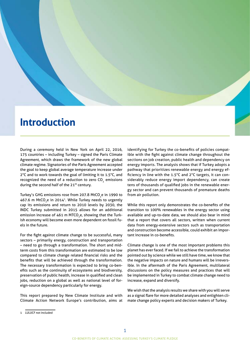# <span id="page-2-0"></span>**Introduction**

During a ceremony held in New York on April 22, 2016, 175 countries – including Turkey – signed the Paris Climate Agreement, which draws the framework of the new global climate regime. Signatories of the Paris Agreement accepted the goal to keep global average temperature increase under 2°C and to work towards the goal of limiting it to 1.5°C, and recognized the need of a reduction to zero CO<sub>2</sub> emissions during the second half of the 21<sup>th</sup> century.

Turkey's GHG emissions rose from 207.8 MtCO<sub>2</sub>e in 1990 to 467.6 m MtCO<sub>2</sub>e in 2014<sup>1</sup>. While Turkey needs to urgently cap its emissions and return to 2010 levels by 2030, the INDC Turkey submitted in 2015 allows for an additional emission increase of 461 m MTCO<sub>2</sub>e, showing that the Turkish economy will become even more dependent on fossil fuels in the future.

For the fight against climate change to be successful, many sectors – primarily energy, construction and transportation – need to go through a transformation. The short and midterm costs from this transformation are estimated to be low compared to climate change related financial risks and the benefits that will be achieved through the transformation. The necessary transformation is expected to bring co-benefits such as the continuity of ecosystems and biodiversity, preservation of public health, increase in qualified and clean jobs, reduction on a global as well as national level of foreign-source dependency particularly for energy.

This report prepared by New Climate Institute and with Climate Action Network Europe's contribution, aims at identifying for Turkey the co-benefits of policies compatible with the fight against climate change throughout the sections on job creation, public health and dependency on energy imports. The analysis shows that if Turkey adopts a pathway that prioritizes renewable energy and energy efficiency in line with the 1.5°C and 2°C targets, it can considerably reduce energy import dependency, can create tens of thousands of qualified jobs in the renewable energy sector and can prevent thousands of premature deaths from air pollution.

While this report only demonstrates the co-benefits of the transition to 100% renewables in the energy sector using available and up-to-date data, we should also bear in mind that a report that covers all sectors, written when current data from energy-extensive sectors such as transportation and construction become accessible, could exhibit an important increase in co-benefits.

Climate change is one of the most important problems this planet has ever faced. If we fail to achieve the transformation pointed out by science while we still have time, we know that the negative impacts on nature and humans will be irreversible. In the aftermath of the Paris Agreement, multilateral discussions on the policy measures and practices that will be implemented in Turkey to combat climate change need to increase, expand and diversify.

We wish that the analysis results we share with you will serve as a signal flare for more detailed analyses and enlighten climate change policy experts and decision makers of Turkey.

<sup>1</sup> LULUCF not included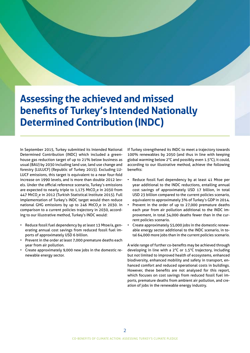# <span id="page-3-0"></span>**Assessing the achieved and missed benefits of Turkey's Intended Nationally Determined Contribution (INDC)**

In September 2015, Turkey submitted its Intended National Determined Contribution (INDC) which included a greenhouse gas reduction target of up to 21% below business as usual (BAU) by 2030 including land use, land use change and forestry (LULUCF) (Republic of Turkey 2015). Excluding LU-LUCF emissions, this target is equivalent to a near four-fold increase on 1990 levels, and is more than double 2012 levels. Under the official reference scenario, Turkey's emissions are expected to nearly triple to 1,175 MtCO<sub>2</sub>e in 2030 from 447 MtCO<sub>,</sub>e in 2012 (Turkish Statistical Institute 2015). Full implementation of Turkey's INDC target would then reduce national GHG emissions by up to 246 MtCO<sub>3</sub>e in 2030. In comparison to a current policies trajectory in 2030, according to our illustrative method, Turkey's INDC would:

- Reduce fossil fuel dependency by at least 13 Mtoe/a, generating annual cost savings from reduced fossil fuel imports of approximately USD 6 billion.
- Prevent in the order at least 7,000 premature deaths each year from air pollution.
- Create approximately 9,000 new jobs in the domestic renewable energy sector.

If Turkey strengthened its INDC to meet a trajectory towards 100% renewables by 2050 (and thus in line with keeping global warming below 2°C and possibly even 1.5°C), it could, according to our illustrative method, achieve the following benefits:

- Reduce fossil fuel dependency by at least 41 Mtoe per year additional to the INDC reductions, entailing annual cost savings of approximately USD 17 billion, in total USD 23 billion compared to the current policies scenario, equivalent to approximately 3% of Turkey's GDP in 2014.
- Prevent in the order of up to 27,000 premature deaths each year from air pollution additional to the INDC improvement, in total 34,000 deaths fewer than in the current policies scenario.
- Create approximately 55,000 jobs in the domestic renewable energy sector additional to the INDC scenario, in total 64,000 more jobs than in the current policies scenario.

A wide range of further co-benefits may be achieved through developing in line with a 2°C or 1.5°C trajectory, including but not limited to improved health of ecosystems, enhanced biodiversity, enhanced mobility and safety in transport, enhanced comfort and reduced operational costs in buildings. However, these benefits are not analysed for this report, which focuses on cost savings from reduced fossil fuel imports, premature deaths from ambient air pollution, and creation of jobs in the renewable energy industry.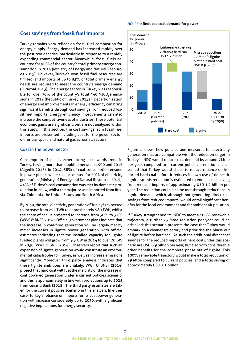## <span id="page-4-0"></span>**Cost savings from fossil fuel imports**

Turkey remains very reliant on fossil fuel combustion for energy supply. Energy demand has increased rapidly over the past two decades, particularly in response to a rapidly expanding commercial sector. Meanwhile, fossil fuels accounted for 90% of the country's total primary energy consumption in 2014 (Ministry of Energy and Natural Resources 2015). However, Turkey's own fossil fuel resources are limited, and imports of up to 83% of total primary energy needs are required to meet the country's energy demand (Euracoal 2013). The energy sector in Turkey was responsible for over 70% of the country's total 440 MtCO<sub>2</sub>e emissions in 2012 (Republic of Turkey 2015a). Decarbonisation of energy and improvements in energy efficiency can bring significant benefits through cost savings from reduced fossil fuel imports. Energy efficiency improvements can also increase the competitiveness of industries. These potential economic gains are significant, but are not analysed within this study. In this section, the cost savings from fossil fuel imports are presented including coal for the power sector, oil for transport, and natural gas across all sectors.

#### Coal in the power sector

Consumption of coal is experiencing an upwards trend in Turkey, having more than doubled between 1990 and 2012 (Algedik 2015). In 2014, 58% of coal consumption ensued in power plants, while coal accounted for 30% of electricity generation (Ministry of Energy and Natural Resources 2015). 44% of Turkey's coal consumption was met by domestic production in 2014, whilst the majority was imported from Russia, Colombia, the United States and South Africa.

By 2030, the total electricity generation of Turkey is expected to increase from 252 TWh to approximately 580 TWh, whilst the share of coal is projected to increase from 30% to 32% (WWF & BNEF 2014). Official government plans indicate that the increase in coal-fired generation will be largely met by major increases in lignite power generation, with official estimates indicating that the installed capacity for lignite fuelled plants will grow from 9.3 GW in 2014 to over 20 GW in 2030 (WWF & BNEF 2014). Observers report that such an expansion of lignite generation would constitute an environmental catastrophe for Turkey, as well as increase emissions significantly. Moreover, third party analysis indicates that these lignite ambitions are unlikely; WWF  $\theta$  BNEF (2014) project that hard coal will fuel the majority of the increase in coal powered generation under a current policies scenario, and this is approximately in line with projections up to 2025 from Garanti Bank (2015). The third party estimates are taken for the current policies scenario in this analysis. In either case, Turkey's reliance on imports for its coal power generation will increase considerably up to 2030, with significant negative implications for energy security.

#### Figure 1: **Reduced coal demand for power**



Figure 1 shows how policies and measures for electricity generation that are compatible with the reduction target in Turkey's INDC would reduce coal demand by around 7 Mtoe per year, compared to a current policies scenario; it is assumed that Turkey would chose to reduce reliance on imported hard coal before it reduces its own use of domestic lignite, so this reduction is estimated to entail a cost saving from reduced imports of approximately USD 1.2 billion per year. The reduction could also be met through reductions in lignite demand, which, although not generating direct cost savings from reduced imports, would entail significant benefits for the local environment and for ambient air pollution.

If Turkey strengthened its INDC to meet a 100% renewable trajectory, a further 23 Mtoe reduction per year could be achieved; this scenario presents the case that Turkey would embark on a cleaner trajectory and prioritise the phase out of lignite before hard coal. As such the additional direct cost savings for the reduced imports of hard coal under this scenario are USD 0.9 billion per year, but also with considerable other benefits for the complete phase out of lignite. This 100% renewable trajectory would make a total reduction of 29 Mtoe compared to current policies, and a total saving of approximately USD 2.1 billion.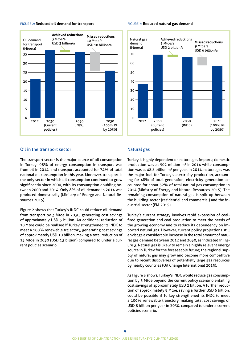

#### Figure 2: **Reduced oil demand for transport**

#### Figure 3: **Reduced natural gas demand**



#### Oil in the transport sector

The transport sector is the major source of oil consumption in Turkey; 98% of energy consumption in transport was from oil in 2014, and transport accounted for 74% of total national oil consumption in this year. Moreover, transport is the only sector in which oil consumption continued to grow significantly since 2000, with its consumption doubling between 2000 and 2014. Only 8% of oil demand in 2014 was produced domestically (Ministry of Energy and Natural Resources 2015).

Figure 2 shows that Turkey's INDC could reduce oil demand from transport by 3 Mtoe in 2030, generating cost savings of approximately USD 3 billion. An additional reduction of 10 Mtoe could be realised if Turkey strengthened its INDC to meet a 100% renewable trajectory, generating cost savings of approximately USD 10 billion, making a total reduction of 13 Mtoe in 2030 (USD 13 billion) compared to under a current policies scenario.

#### Natural gas

Turkey is highly dependent on natural gas imports; domestic production was at 502 million  $m<sup>3</sup>$  in 2014 while consumption was at 48.8 billion  $m^3$  per year. In 2014, natural gas was the major fuel for Turkey's electricity production, accounting for 48% of total generation; electricity generation accounted for about 52% of total natural gas consumption in 2014 (Ministry of Energy and Natural Resources 2015). The remaining consumption of natural gas is split up between the building sector (residential and commercial) and the industrial sector (EIA 2015).

Turkey's current strategy involves rapid expansion of coalfired generation and coal production to meet the needs of the growing economy and to reduce its dependency on imported natural gas. However, current policy projections still envisage a considerable increase in the total amount of natural gas demand between 2012 and 2030, as indicated in Figure 3. Natural gas is likely to remain a highly relevant energy source in Turkey for the foreseeable future; the regional supply of natural gas may grow and become more competitive due to recent discoveries of potentially large gas resources by nearby countries (Oil Change International 2015).

As Figure 3 shows, Turkey's INDC would reduce gas consumption by 3 Mtoe beyond the current policy scenario entailing cost savings of approximately USD 2 billion. A further reduction of approximately 9 Mtoe, saving a further USD 6 billion, could be possible if Turkey strengthened its INDC to meet a 100% renewable trajectory, making total cost savings of USD 8 billion per year in 2030, compared to under a current policies scenario.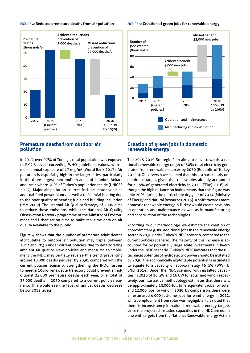

#### <span id="page-6-0"></span>Figure 4: **Reduced premature deaths from air pollution**

## **Premature deaths from outdoor air pollution**

In 2013, over 97% of Turkey's total population was exposed to PM2.5 levels exceeding WHO guidelines values, with a mean annual exposure of 17 m g/m2 (World Bank 2013). Air pollution is especially high in the larger cities, particularly in the three largest metropolitan areas of Istanbul, Ankara and Izmir, where 30% of Turkey's population reside (UNICEF 2013). Major air pollution sources include motor vehicles and coal fired power plants, as well a residential heating due to the poor quality of heating fuels and building insulation (IMM 2009). The Istanbul Air Quality Strategy of 2009 aims to reduce these emissions, while the National Air Quality Observation Network programme of the Ministry of Environment and Urbanization aims to make real time data on air quality available to the public.

Figure 4 shows that the number of premature adult deaths attributable to outdoor air pollution may triple between 2012 and 2030 under current policies, due to deteriorating ambient air quality. New policies and measures to implement the INDC may partially reverse this trend, preventing around 10,000 deaths per year by 2030, compared with the current policies scenario. Strengthening the INDC further to meet a 100% renewable trajectory could prevent an additional 25,000 premature deaths each year, or a total of 35,000 deaths in 2030 compared to a current policies scenario. This would see the level of annual deaths decrease below 2012 levels.

#### Figure 5: **Creation of green jobs for renewable energy**



## **Creation of green jobs in domestic renewable energy**

The 2015-2019 Strategic Plan aims to move towards a national renewable energy target of 30% total electricity generated from renewable sources by 2030 (Republic of Turkey 2015b). Observers have claimed that this is a particularly unambitious target, given that renewables already accounted for 31.5% of generated electricity in 2015 (TEİAŞ 2016), although the high reliance on hydro means that this figure was only 20% during the particularly dry year of 2014 (Ministry of Energy and Natural Resources 2015). A shift towards more domestic renewable energy in Turkey would create new jobs in operation and maintenance as well as in manufacturing and construction of the technologies.

According to our methodology, we estimate the creation of approximately 9,000 additional jobs in the renewable energy sector in 2030 under Turkey's INDC scenario, compared to the current policies scenario. The majority of this increase is accounted for by potentially large scale investments in hydro under the INDC scenario. Turkey's INDC indicates that the full technical potential of hydroelectric power should be installed by 2030: the economically exploitable potential is estimated to equate to a capacity of approximately 36 GW (WWF & BNEF 2014). Under the INDC scenario, with installed capacities in 2030 of 10 GW and 16 GW for solar and wind, respectively, our illustrative methodology estimates that there will be approximately 13,000 full time equivalent jobs for solar and 12,000 jobs for wind in 2030. By comparison, there were an estimated 6,000 full-time jobs for wind energy in 2012, whilst employment from solar was negligible. It is noted that there is inconsistency in national renewable energy targets since the projected installed capacities in the INDC are not in line with targets from the National Renewable Energy Action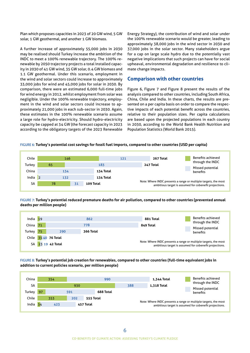<span id="page-7-0"></span>Plan which proposes capacities in 2023 of 20 GW wind, 5 GW solar, 1 GW geothermal, and another 1 GW biomass.

A further increase of approximately 55,000 jobs in 2030 may be realised should Turkey increase the ambition of the INDC to meet a 100% renewable trajectory. The 100% renewable by 2050 trajectory projects a total installed capacity in 2030 of 41 GW wind, 35 GW solar, 0.4 GW biomass and 1.1 GW geothermal. Under this scenario, employment in the wind and solar sectors could increase to approximately 33,000 jobs for wind and 45,000 jobs for solar in 2030. By comparison, there were an estimated 6,000 full-time jobs for wind energy in 2012, whilst employment from solar was negligible. Under the 100% renewable trajectory, employment in the wind and solar sectors could increase to approximately 21,000 jobs in each sub-sector in 2030. Again, these estimates in the 100% renewable scenario assume a large role for hydro-electricity. Should hydro-electricity capacity be capped at 34 GW (the forecast capacity in 2023 according to the obligatory targets of the 2023 Renewable

Energy Strategy), the contribution of wind and solar under the 100% renewable scenario would be greater, leading to approximately 38,000 jobs in the wind sector in 2030 and 37,000 jobs in the solar sector. Many stakeholders argue for a cap on large scale hydro due to the potentially vast negative implications that such projects can have for social upheaval, environmental degradation and resilience to climate change impacts.

### **Comparison with other countries**

Figure 6, Figure 7 and Figure 8 present the results of the analysis compared to other countries, including South Africa, China, Chile and India. In these charts, the results are presented on a per capita basis on order to compare the respective impacts of each potential benefit across the countries, relative to their population sizes. Per capita calculations are based upon the projected populations in each country in 2030, according to the World Bank Health Nutrition and Population Statistics (World Bank 2015).

#### Figure 6: **Turkey's potential cost savings for fossil fuel imports, compared to other countries (USD per capita)**



#### Figure 7: **Turkey's potential reduced premature deaths for air pollution, compared to other countries (prevented annual deaths per million people)**



Figure 8: **Turkey's potential job creation for renewables, compared to other countries (full-time equivalent jobs in addition to current policies scenario, per million people)**

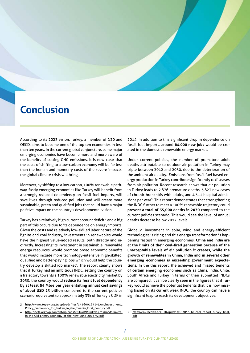# <span id="page-8-0"></span>**Conclusion**

According to its 2023 vision, Turkey, a member of G20 and OECD, aims to become one of the top ten economies in less than ten years. In the current global conjuncture, some major emerging economies have become more and more aware of the benefits of cutting GHG emissions. It is now clear that the costs of shifting to a low-carbon economy will be far less than the human and monetary costs of the severe impacts, the global climate crisis will bring.

Moreover, by shifting to a low-carbon, 100% renewable pathway, fastly emerging economies like Turkey will benefit from a strongly reduced dependency on fossil fuel imports, will save lives through reduced pollution and will create more sustainable, green and qualified jobs that could have a major positive impact on the country's developmental vision.

Turkey has a relatively high current account deficit<sup>3</sup>, and a big part of this occurs due to its dependence on energy imports. Given the costs and relatively low-skilled labor nature of the lignite and coal industry, investments in renewables would have the highest value-added results, both directly and indirectly. Increasing its investment in sustainable, renewable energy resources, would promote broad economic benefits that would include more technology-intensive, high-skilled, qualified and better-paying jobs which would help the country develop a skilled job market<sup>4</sup>. The report clearly shows that if Turkey had an ambitious INDC, setting the country on a trajectory towards a 100% renewable electricity market by 2050, the country would **reduce its fossil fuel dependency by at least 54 Mtoe per year entailing annual cost savings of about USD 23 billion** compared to the current policies scenario, equivalent to approximately 3% of Turkey's GDP in

[http://www.tepav.org.tr/upload/files/1426001674-9.An\\_Investment\\_](http://www.tepav.org.tr/upload/files/1426001674-9.An_Investment_Policy_Framework_for_Turkey_in_the_Twenty_First_Century.pdf) [Policy\\_Framework\\_for\\_Turkey\\_in\\_the\\_Twenty\\_First\\_Century.pdf](http://www.tepav.org.tr/upload/files/1426001674-9.An_Investment_Policy_Framework_for_Turkey_in_the_Twenty_First_Century.pdf)

[http://ieefa.org/wp-content/uploads/2016/09/Turkey-Crossroads-Invest](http://ieefa.org/wp-content/uploads/2016/09/Turkey-Crossroads-Invest-in-the-Old-Energy-Economy-or-the-New_June-2016-v2.pdf)[in-the-Old-Energy-Economy-or-the-New\\_June-2016-v2.pdf](http://ieefa.org/wp-content/uploads/2016/09/Turkey-Crossroads-Invest-in-the-Old-Energy-Economy-or-the-New_June-2016-v2.pdf)

2014. In addition to this significant drop in dependence on fossil fuel imports, around **64,000 new jobs** would be created in the domestic renewable energy market.

Under current policies, the number of premature adult deaths attributable to outdoor air pollution in Turkey may triple between 2012 and 2030, due to the deterioration of the ambient air quality. Emissions from fossil fuel based energy production in Turkey contribute significantly to diseases from air pollution. Recent research shows that air pollution in Turkey leads to 2,876 premature deaths, 3,823 new cases of chronic bronchitis with adults, and 4,311 hospital admissions per year<sup>5</sup>. This report demonstrates that strengthening the INDC further to meet a 100% renewable trajectory could **prevent a total of 35,000 deaths in 2030** compared to the current policies scenario. This would see the level of annual deaths decrease below 2012 levels.

Globally, investment in solar, wind and energy-efficient technologies is rising and this energy transformation is happening fastest in emerging economies. **China and India are at the limits of their coal-fired generation because of the unacceptable levels of air pollution it creates, while the growth of renewables in China, India and in several other emerging economies is exceeding government expectations.** In the this report, the achieved and missed benefits of certain emerging economies such as China, India, Chile, South Africa and Turkey in terms of their submitted INDCs are compared. It can be clearly seen in the figures that if Turkey would achieve the potential benefits that it is now missing based on its current weak INDC, the country can have a significant leap to reach its development objectives.

<sup>5</sup> [http://env-health.org/IMG/pdf/19052015\\_hr\\_coal\\_report\\_turkey\\_final.](http://env-health.org/IMG/pdf/19052015_hr_coal_report_turkey_final.pdf) [pdf](http://env-health.org/IMG/pdf/19052015_hr_coal_report_turkey_final.pdf)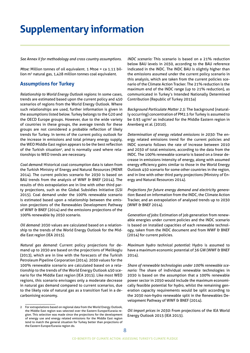# <span id="page-9-0"></span>**Supplementary information**

*See Annex II for methodology and cross country assumptions.*

*Mtoe:* Million tonnes of oil equivalent. 1 Mtoe = ca 1.11 billion m<sup>3</sup> natural gas, 1,428 million tonnes coal equivalent.

# **Assumptions for Turkey**

*Relationship to World Energy Outlook regions:* In some cases, trends are estimated based upon the current policy and 450 scenarios of regions from the World Energy Outlook. Where such relationships are used, further information is given in the assumptions listed below. Turkey belongs to the G20 and the OECD Europe groups. However, due to the wide variety of countries in these groups, the average trends for these groups are not considered a probable reflection of likely trends for Turkey. In terms of the current policy outlook for the increase in emissions and total primary energy supply, the WEO Middle East region appears to be the best reflection of the Turkish situation<sup>2</sup>, and is normally used where relationships to WEO trends are necessary.

*Coal demand:* Historical coal consumption data is taken from the Turkish Ministry of Energy and Natural Resources (MENR 2014). The current policies scenario for 2030 is based on BAU trends from the analysis of WWF & BNEF (2014). The results of this extrapolation are in line with other third party projections, such as the Global Subsidies Initiative (GSI 2015). Coal demand under the 100% renewable scenario is estimated based upon a relationship between the emission projections of the Renewables Development Pathway of WWF & BNEF (2014) and the emissions projections of the 100% renewable by 2050 scenario.

*Oil demand:* 2030 values are calculated based on a relationship to the trends of the World Energy Outlook for the Middle East region (IEA 2015).

*Natural gas demand:* Current policy projections for demand up to 2030 are based on the projections of Melikoglu (2013), which are in line with the forecasts of the Turkish Petroleum Pipeline Corporation (2014). 2030 values for the 100% renewable scenario are calculated based on a relationship to the trends of the World Energy Outlook 450 scenario for the Middle East region (IEA 2015). Like most WEO regions, this scenario envisages only a moderate decrease in natural gas demand compared to current scenarios, due to the likely role of natural gas as a transition fuel in a decarbonising economy.

*INDC scenario:* This scenario is based on a 21% reduction below BAU levels in 2030, according to the BAU reference indicated in the INDC. The INDC BAU is slightly higher than the emissions assumed under the current policy scenario in this analysis, which are taken from the current policies scenario of the Climate Action Tracker. The 21% reduction is the maximum end of the INDC range (up to 21% reduction), as communicated in Turkey's Intended Nationally Determined Contribution (Republic of Turkey 2015a)

*Background Particulate Matter 2.5:* The background (naturally occurring) concentration of PM2.5 for Turkey is assumed to be 0.93 ug/m<sup>3</sup> as indicated for the Middle Eastern region in Anenberg et al. (2010).

*Determination of energy related emissions in 2030:* The energy related emissions trend for the current policies and INDC scenario follows the rate of increase between 2010 and 2030 of total emissions, according to the data from the INDC. The 100% renewable scenario is based on a linear decrease in emissions intensity of energy, along with assumed energy efficiency gains similar to those in the World Energy Outlook 450 scenario for some other countries in the region, and in line with other third party projections (Ministry of Energy and Natural Resources 2014).

*Projections for future energy demand and electricity generation:* Based on information from the INDC, the Climate Action Tracker, and an extrapolation of analysed trends up to 2030 (WWF & BNEF 2014).

*Generation of jobs:* Estimation of job generation from renewable energies under current policies and the INDC scenario is based on installed capacities of each renewable technology, taken from the INDC document and from WWF & BNEF (2014) for current policies.

*Maximum hydro technical potential:* Hydro is assumed to have a maximum economic potential of 36 GW (WWF & BNEF 2014).

*Share of renewable technologies under 100% renewable scenario:* The share of individual renewable technologies in 2030 is based on the assumption that a 100% renewable power sector in 2050 would include the maximum economically feasible potential for hydro, whilst the remaining generation capacity requirements would be split according to the 2030 non-hydro renewable split in the Renewables Development Pathway of WWF & BNEF (2014).

*Oil import prices in 2030:* From projections of the IEA World Energy Outlook 2015 (IEA 2015).

<sup>2</sup> For extrapolations based on regional data from the World Energy Outlook, the Middle East region was selected over the Eastern Europe/Eurasia region. This selection was made since the projections for the development of energy use and energy related emissions for the Middle East region tend to match the general situation for Turkey better than projections of the Eastern Europe/Eurasia region do.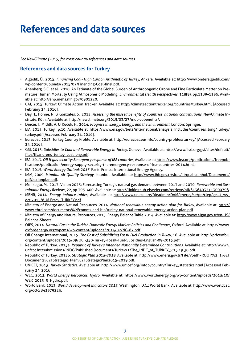# <span id="page-10-0"></span>**References and data sources**

*See NewClimate (2015) for cross country references and data sources.*

# **References and data sources for Turkey**

- Algedik, Ö., 2015. *Financing Coal- High Carbon Arithmetic of Turkey*, Ankara. Available at: [http://www.onderalgedik.com/](http://www.onderalgedik.com/wp-content/uploads/2015/07/Financing-Coal-final.pdf) [wp-content/uploads/2015/07/Financing-Coal-final.pdf.](http://www.onderalgedik.com/wp-content/uploads/2015/07/Financing-Coal-final.pdf)
- Anenberg, S.C. et al., 2010. An Estimate of the Global Burden of Anthropogenic Ozone and Fine Particulate Matter on Premature Human Mortality Using Atmospheric Modeling. *Environmental Health Perspectives*, 118(9), pp.1189–1195. Available at: <http://ehp.niehs.nih.gov/0901220>.
- CAT, 2015. Turkey: Climate Action Tracker. Available at: <http://climateactiontracker.org/countries/turkey.html> [Accessed February 24, 2016].
- Day, T., Höhne, N. & Gonzales, S., 2015. *Assessing the missed benefits of countries' national contributions*, NewClimate Institute, Köln. Available at: [http://newclimate.org/2015/03/27/indc-cobenefits/.](http://newclimate.org/2015/03/27/indc-cobenefits/)
- Dincer, I., Midilli, A. & Kucuk, H., 2014. *Progress in Exergy, Energy, and the Environment*, London: Springer.
- EIA, 2015. Turkey. p.10. Available at: [https://www.eia.gov/beta/international/analysis\\_includes/countries\\_long/Turkey/](https://www.eia.gov/beta/international/analysis_includes/countries_long/Turkey/turkey.pdf) [turkey.pdf](https://www.eia.gov/beta/international/analysis_includes/countries_long/Turkey/turkey.pdf) [Accessed February 24, 2016].
- Euracoal, 2013. Turkey Country Profile. Available at:<http://euracoal.eu/info/country-profiles/turkey/>[Accessed February 24, 2016].
- GSI, 2015. *Subsidies to Coal and Renewable Energy in Turkey*, Geneva. Available at: [http://www.iisd.org/gsi/sites/default/](http://www.iisd.org/gsi/sites/default/files/ffsandrens_turkey_coal_eng.pdf) [files/ffsandrens\\_turkey\\_coal\\_eng.pdf.](http://www.iisd.org/gsi/sites/default/files/ffsandrens_turkey_coal_eng.pdf)
- IEA, 2013. *Oil & gas security: Emergency response of IEA countries*, Available at: [https://www.iea.org/publications/freepub](https://www.iea.org/publications/freepublications/publication/energy-supply-security-the-emergency-response-of-iea-countries-2014.html)[lications/publication/energy-supply-security-the-emergency-response-of-iea-countries-2014.html.](https://www.iea.org/publications/freepublications/publication/energy-supply-security-the-emergency-response-of-iea-countries-2014.html)
- IEA, 2015. *World Energy Outlook 2015*, Paris, France: International Energy Agency.
- IMM, 2009. *Istanbul Air Quality Strategy*, Istanbul. Available at: [http://www.ibb.gov.tr/sites/airqualistanbul/Documents/](http://www.ibb.gov.tr/sites/airqualistanbul/Documents/pdf/actionplan.pdf) [pdf/actionplan.pdf](http://www.ibb.gov.tr/sites/airqualistanbul/Documents/pdf/actionplan.pdf).
- Melikoglu, M., 2013. Vision 2023: Forecasting Turkey's natural gas demand between 2013 and 2030. *Renewable and Sustainable Energy Reviews*, 22, pp.393–400. Available at:<http://linkinghub.elsevier.com/retrieve/pii/S1364032113000798>.
- MENR, 2014. *Energy balance tables*, Available at: [http://www.unece.org/fileadmin/DAM/energy/se/pp/clep/ge11\\_ws\\_](http://www.unece.org/fileadmin/DAM/energy/se/pp/clep/ge11_ws_oct.2015/8_M.Ersoy_TURKEY.pdf) [oct.2015/8\\_M.Ersoy\\_TURKEY.pdf.](http://www.unece.org/fileadmin/DAM/energy/se/pp/clep/ge11_ws_oct.2015/8_M.Ersoy_TURKEY.pdf)
- Ministry of Energy and Natural Resources, 2014. *National renewable energy action plan for Turkey*, Available at: [http://](http://www.ebrd.com/documents%2Fcomms-and-bis/turkey-national-renewable-energy-action-plan.pdf) [www.ebrd.com/documents%2Fcomms-and-bis/turkey-national-renewable-energy-action-plan.pdf.](http://www.ebrd.com/documents%2Fcomms-and-bis/turkey-national-renewable-energy-action-plan.pdf)
- Ministry of Energy and Natural Resources, 2015. Energy Balance Table 2014. Available at: [http://www.eigm.gov.tr/en-US/](http://www.eigm.gov.tr/en-US/Balance-Sheets) [Balance-Sheets](http://www.eigm.gov.tr/en-US/Balance-Sheets).
- OIES, 2014. *Natural Gas in the Turkish Domestic Energy Market: Policies and Challenges*, Oxford. Available at: [https://www.](https://www.oxfordenergy.org/wpcms/wp-content/uploads/2014/02/NG-82.pdf) [oxfordenergy.org/wpcms/wp-content/uploads/2014/02/NG-82.pdf](https://www.oxfordenergy.org/wpcms/wp-content/uploads/2014/02/NG-82.pdf).
- Oil Change International, 2015. *The Cost of Subsidizing Fossil Fuel Production in Tukey*, 16. Available at: [http://priceofoil.](http://priceofoil.org/content/uploads/2015/09/OCI-350-Turkey-Fossil-Fuel-Subsidies-English-09-2015.pdf) [org/content/uploads/2015/09/OCI-350-Turkey-Fossil-Fuel-Subsidies-English-09-2015.pdf.](http://priceofoil.org/content/uploads/2015/09/OCI-350-Turkey-Fossil-Fuel-Subsidies-English-09-2015.pdf)
- Republic of Turkey, 2015a. *Republic of Turkey's Intended Nationally Determined Contributions*, Available at: [http://www4.](http://www4.unfccc.int/submissions/INDC/Published Documents/Turkey/1/The_INDC_of_TURKEY_v.15.19.30.pdf) [unfccc.int/submissions/INDC/Published Documents/Turkey/1/The\\_INDC\\_of\\_TURKEY\\_v.15.19.30.pdf.](http://www4.unfccc.int/submissions/INDC/Published Documents/Turkey/1/The_INDC_of_TURKEY_v.15.19.30.pdf)
- Republic of Turkey, 2015b. *Strategic Plan 2015-2019*, Available at: [http://www.enerji.gov.tr/File/?path=ROOT%2F1%2F](http://www.enerji.gov.tr/File/?path=ROOT%2F1%2FDocuments%2FStrategic+Plan%2FStrategicPlan2015-2019.pdf) [Documents%2FStrategic+Plan%2FStrategicPlan2015-2019.pdf.](http://www.enerji.gov.tr/File/?path=ROOT%2F1%2FDocuments%2FStrategic+Plan%2FStrategicPlan2015-2019.pdf)
- UNICEF, 2013. *Turkey Statistics*. Available at: [http://www.unicef.org/infobycountry/Turkey\\_statistics.html](http://www.unicef.org/infobycountry/Turkey_statistics.html) [Accessed February 24, 2016].
- WEC, 2013. *World Energy Resources: Hydro*, Available at: [https://www.worldenergy.org/wp-content/uploads/2013/10/](https://www.worldenergy.org/wp-content/uploads/2013/10/WER_2013_5_Hydro.pdf) [WER\\_2013\\_5\\_Hydro.pdf](https://www.worldenergy.org/wp-content/uploads/2013/10/WER_2013_5_Hydro.pdf).
- World Bank, 2013. *World development indicators 2013*, Washington, D.C.: World Bank. Available at: [http://www.worldcat.](http://www.worldcat.org/oclc/843979223) [org/oclc/843979223](http://www.worldcat.org/oclc/843979223).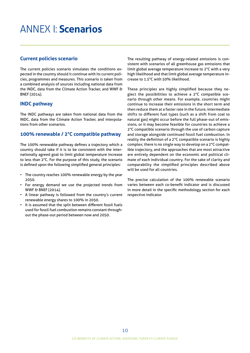# <span id="page-11-0"></span>Annex I: **Scenarios**

# **Current policies scenario**

The current policies scenario simulates the conditions expected in the country should it continue with its current policies, programmes and measures. This scenario is taken from a combined analysis of sources including national data from the INDC, data from the Climate Action Tracker, and WWF & BNEF (2014).

# **INDC pathway**

The INDC pathways are taken from national data from the INDC, data from the Climate Action Tracker, and interpolations from other scenarios.

# **100% renewable / 2°C compatible pathway**

The 100% renewable pathway defines a trajectory which a country should take if it is to be consistent with the internationally agreed goal to limit global temperature increase to less than 2°C. For the purpose of this study, the scenario is defined upon the following simplified general principles:

- The country reaches 100% renewable energy by the year 2050.
- For energy demand we use the projected trends from WWF & BNEF (2014).
- A linear pathway is followed from the country's current renewable energy shares to 100% in 2050.
- It is assumed that the split between different fossil fuels used for fossil fuel combustion remains constant throughout the phase-out period between now and 2050.

The resulting pathway of energy-related emissions is consistent with scenarios of all greenhouse gas emissions that limit global average temperature increase to 2°C with a very high likelihood and that limit global average temperature increase to 1.5°C with 50% likelihood.

These principles are highly simplified because they neglect the possibilities to achieve a 2°C compatible scenario through other means. For example, countries might continue to increase their emissions in the short term and then reduce them at a faster rate in the future, intermediate shifts to different fuel types (such as a shift from coal to natural gas) might occur before the full phase-out of emissions, or it may become feasible for countries to achieve a 2°C compatible scenario through the use of carbon capture and storage alongside continued fossil fuel combustion. In reality the definition of a 2°C compatible scenario is highly complex; there is no single way to develop on a 2°C compatible trajectory, and the approaches that are most attractive are entirely dependent on the economic and political climate of each individual country. For the sake of clarity and comparability the simplified principles described above will be used for all countries.

The precise calculation of the 100% renewable scenario varies between each co-benefit indicator and is discussed in more detail in the specific methodology section for each respective indicator.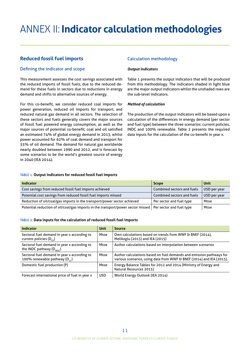# <span id="page-12-0"></span>Annex II: **Indicator calculation methodologies**

# **Reduced fossil fuel imports**

#### Defining the indicator and scope

This measurement assesses the cost savings associated with the reduced imports of fossil fuels, due to the reduced demand for these fuels in sectors due to reductions in energy demand and shifts to alternative sources of energy.

For this co-benefit, we consider reduced coal imports for power generation, reduced oil imports for transport, and reduced natural gas demand in all sectors. The selection of these sectors and fuels generally covers the major sources of fossil fuel powered energy consumption, as well as the major sources of potential co-benefit; coal and oil satisfied an estimated 74% of global energy demand in 2013, whilst power accounted for 62% of coal demand and transport for 55% of oil demand. The demand for natural gas worldwide nearly doubled between 1990 and 2012, and is forecast by some scenarios to be the world's greatest source of energy in 2040 (IEA 2014).

### Calculation methodology

#### *Output indicators*

Table 1 presents the output indicators that will be produced from this methodology. The indicators shaded in light blue are the major output indicators whilst the unshaded rows are the sub-level indicators.

#### *Method of calculation*

The production of the output indicators will be based upon a calculation of the differences in energy demand (per sector and fuel type) between the three scenarios: current policies, INDC and 100% renewable. Table 2 presents the required data inputs for the calculation of the co-benefit in year x.

#### Table 1: **Output indicators for reduced fossil fuel imports**

| <b>Indicator</b>                                                                                            | <b>Scope</b>               | Unit         |
|-------------------------------------------------------------------------------------------------------------|----------------------------|--------------|
| Cost savings from reduced fossil fuel imports achieved                                                      | Combined sectors and fuels | USD per year |
| Potential cost savings from reduced fossil fuel imports missed                                              | Combined sectors and fuels | USD per year |
| Reduction of oil/coal/gas imports in the transport/power sector achieved                                    | Per sector and fuel type   | Mtoe         |
| Potential reduction of oil/coal/gas imports in the transport/power sector missed   Per sector and fuel type |                            | Mtoe         |

#### Table 2: **Data inputs for the calculation of reduced fossil fuel imports**

| <b>Indicator</b>                                                                    | <b>Unit</b> | <b>Source</b>                                                                                                                               |
|-------------------------------------------------------------------------------------|-------------|---------------------------------------------------------------------------------------------------------------------------------------------|
| Sectoral fuel demand in year x according to<br>current policies ( $D_{\text{co}}$ ) | Mtoe        | Own calculations based on trends from WWF & BNEF (2014),<br>Melikoglu (2013) and IEA (2015)                                                 |
| Sectoral fuel demand in year x according to<br>the INDC pathway $(D_{\text{NDC}})$  | Mtoe        | Author calculations based on interpolation between scenarios                                                                                |
| Sectoral fuel demand in year x according to<br>100% renewable pathway ( $D_{2c}$ )  | Mtoe        | Author calculations based on fuel demands and emission pathways for<br>various scenarios, using data from WWF & BNEF (2014) and IEA (2015). |
| Domestic fuel production (P)                                                        | Mtoe        | Energy Balance Tables for 2012 and 2014 (Ministry of Energy and<br>Natural Resources 2015)                                                  |
| Forecast international price of fuel in year x                                      | USD.        | World Energy Outlook (IEA 2014)                                                                                                             |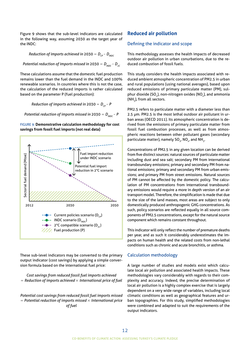<span id="page-13-0"></span>Figure 9 shows that the sub-level indicators are calculated in the following way, assuming 2030 as the target year of the INDC:

*Reduction of imports achieved in* 2030 =  $D_{CP}$  –  $D_{NNC}$ 

*Potential reduction of imports missed in* 2030 =  $D_{\text{NDC}}$  –  $D_{\text{2C}}$ 

These calculations assume that the domestic fuel production remains lower than the fuel demand in the INDC and 100% renewable scenarios. In countries where this is not the case, the calculation of the reduced imports is rather calculated based on the parameter P (fuel production):

*Reduction of imports achieved in*  $2030 = D_{co} - P$ 

*Potential reduction of imports missed in*  $2030 = D_{\text{NDC}} - P$ 

Figure 9: **Demonstrative calculation methodology for cost savings from fossil fuel imports (not real data)**



These sub-level indicators may be converted to the primary output indicator (cost savings) by applying a simple conversion formula based on the international fuel price:

*Cost savings from reduced fossil fuel imports achieved*  = *Reduction of imports achieved* × *International price of fuel*

*Potential cost savings from reduced fossil fuel imports missed*  = *Potential reduction of imports missed* × *International price of fuel*

### **Reduced air pollution**

#### Defining the indicator and scope

This methodology assesses the health impacts of decreased outdoor air pollution in urban conurbations, due to the reduced combustion of fossil fuels.

This study considers the health impacts associated with reduced ambient atmospheric concentration of PM2.5 in urban and rural populations (using national averages), based upon reduced emissions of primary particulate matter (PM), sulphur dioxide (SO<sub>2</sub>), non-nitrogen oxides (NO<sub>x</sub>), and ammonia (NH<sub>-</sub>), from all sectors.

PM2.5 refers to particulate matter with a diameter less than 2.5 μm. PM2.5 is the most lethal outdoor air pollutant in urban areas (OECD 2011). Its atmospheric concentration is derived from the emissions of primary particulate matter from fossil fuel combustion processes, as well as from atmospheric reactions between other pollutant gases (secondary particulate matter), namely SO<sub>2</sub>, NO<sub>x</sub>, and NH<sub>3</sub>.

Concentrations of PM2.5 in any given location can be derived from five distinct sources: natural sources of particulate matter including dust and sea salt; secondary PM from international transboundary emissions; primary and secondary PM from national emissions; primary and secondary PM from urban emissions; and primary PM from street emissions. Natural sources of PM cannot be affected by the domestic policy. The calculation of PM concentrations from international transboundary emissions would require a more in depth version of an air transport model. Therefore, the simplification is made that due to the size of the land masses, most areas are subject to only domestically produced anthropogenic GHG concentrations. As such, policy scenarios are reflected equally in all source components of PM2.5 concentrations, except for the natural source component which remains constant throughout.

This indicator will only reflect the number of premature deaths per year, and as such it considerably underestimates the impacts on human health and the related costs from non-lethal conditions such as chronic and acute bronchitis, or asthma.

#### Calculation methodology

A large number of studies and models exist which calculate local air pollution and associated health impacts. These methodologies vary considerably with regards to their complexity and accuracy. Indeed, the precise determination of local air pollution is a highly complex exercise that is largely dependent on a very wide range of variables, including local climatic conditions as well as geographical features and urban topographies. For this study, simplified methodologies were combined and adapted to suit the requirements of the output indicators.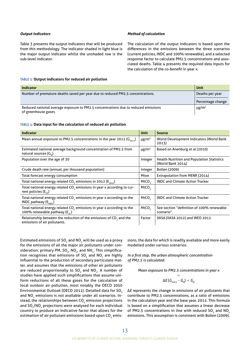#### *Output indicators*

Table 3 presents the output indicators that will be produced from this methodology. The indicator shaded in light blue is the major output indicator whilst the unshaded row is the sub-level indicator.

#### *Method of calculation*

The calculation of the output indicators is based upon the differences in the emissions between the three scenarios (current policies, INDC and 100% renewable), and a selected response factor to calculate PM2.5 concentrations and associated deaths. Table 4 presents the required data inputs for the calculation of the co-benefit in year x.

#### Table 3: **Output indicators for reduced air pollution**

| <b>Indicator</b>                                                                                          | Unit                                 |
|-----------------------------------------------------------------------------------------------------------|--------------------------------------|
| Number of premature deaths saved per year due to reduced PM2.5 concentrations.                            | Deaths per year<br>Percentage change |
| Reduced national average exposure to PM2.5 concentrations due to reduced emissions<br>of greenhouse gases | $\mu$ g/m <sup>3</sup>               |

#### Table 4: **Data input for the calculation of reduced air pollution**

| <b>Indicator</b>                                                                                                          | <b>Unit</b>            | <b>Source</b>                                                          |
|---------------------------------------------------------------------------------------------------------------------------|------------------------|------------------------------------------------------------------------|
| Mean annual exposure to PM2.5 concentrations in the year 2012 ( $G_{2012}$ )                                              | $\mu$ g/m <sup>3</sup> | World Development Indicators (World Bank<br>2013)                      |
| Estimated national average background concentration of PM2.5 from<br>natural sources (G <sub>N</sub> )                    | $\mu$ g/m <sup>3</sup> | Based on Anenburg et al (2010)                                         |
| Population over the age of 30                                                                                             | integer                | <b>Health Nutrition and Population Statistics</b><br>(World Bank 2014) |
| Crude death rate (annual, per thousand population)                                                                        | integer                | Bollen (2009)                                                          |
| Total forecast energy consumption                                                                                         | Mtoe                   | Extrapolation from MENR (2014)                                         |
| Total national energy related $CO2$ emissions in 2012 ( $E2012$ )                                                         | MtCO <sub>2</sub>      | <b>INDC and Climate Action Tracker</b>                                 |
| Total national energy related CO <sub>2</sub> emissions in year x according to cur-<br>rent policies $(E_{cb})$           | MtCO <sub>2</sub>      |                                                                        |
| Total national energy related CO <sub>2</sub> emissions in year x according to the<br>INDC pathway $(E_{\text{inner}})$   | MtCO <sub>2</sub>      | <b>INDC and Climate Action Tracker</b>                                 |
| Total national energy related CO <sub>2</sub> emissions in year x according to the<br>100% renewable pathway ( $E_{2c}$ ) | MtCO <sub>2</sub>      | See section "definition of 100% renewable<br>scenario".                |
| Relationship between the reduction of the emissions of CO <sub>2</sub> and the<br>emissions of air pollutants.            | Factor                 | IIASA (IIASA 2012) and WEO 2012                                        |

Estimated emissions of SO<sub>2</sub> and NO<sub>x</sub> will be used as a proxy for the emissions of all the major air pollutants under consideration: primary PM, SO<sub>2</sub>, NO<sub>x</sub>, and NH<sub>3</sub>. This simplification recognises that emissions of SO<sub>2</sub> and NO<sub>x</sub> are highly influential to the production of secondary particulate matter, and assumes that the emissions of other air pollutants are reduced proportionally to SO<sub>2</sub> and NO<sub>x</sub>. A number of studies have applied such simplifications that assume uniform reductions of all these gases for the calculation of local outdoor air pollution, most notably the OECD 2050 Environmental Outlook (OECD 2011). Detailed data for SO<sub>2</sub> and  $NO_x$  emissions is not available under all scenarios. Instead, the relationships between CO<sub>2</sub> emission projections and  $SO_2/NO_x$  projections were analysed for each individual country to produce an indicative factor that allows for the estimation of air pollutant emissions based upon CO<sub>2</sub> emissions, the data for which is readily available and more easily modelled under various scenarios.

*In a first step, the urban atmospheric concentration of PM2.5 is calculated:* 

*Mean exposure to PM2.5 concentrations in year x* 

$$
=
$$
  

$$
\Delta E (G_{2012} - G_N) + G_N
$$

∆*E* represents the change in emissions of air pollutants that contribute to PM2.5 concentrations, as a ratio of emissions in the calculation year and the base year, 2012. This formula is based on a simplification that assumes a linear decrease of PM2.5 concentrations in line with reduced SO<sub>2</sub> and NO<sub>2</sub> emissions. This assumption is consistent with Bollen (2009).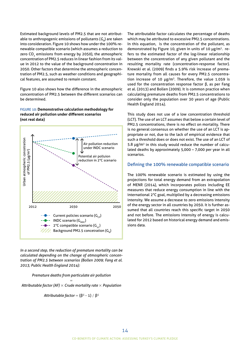Estimated background levels of PM2.5 that are not attributable to anthropogenic emissions of pollutants ( $G<sub>n</sub>$ ) are taken into consideration. Figure 10 shows how under the 100% renewable compatible scenario (which assumes a reduction to zero CO<sub>2</sub> emissions from energy by 2050), the atmospheric concentration of PM2.5 reduces in linear fashion from its value in 2012 to the value of the background concentration in 2050. Other factors that determine the atmospheric concentration of PM2.5, such as weather conditions and geographical features, are assumed to remain constant.

Figure 10 also shows how the difference in the atmospheric concentration of PM2.5 between the different scenarios can be determined.

Figure 10: **Demonstrative calculation methodology for reduced air pollution under different scenarios (not real data)**



*In a second step, the reduction of premature mortality can be calculated depending on the change of atmospheric concentration of PM2.5 between scenarios (Bollen 2009; Fang et al. 2013; Public Health England 2014):*

*Premature deaths from particulate air pollution* 

= *Attributable factor (AF)* × *Crude mortality rate* × *Population* 

*Attributable factor* =  $(β<sup>σ</sup> - 1) / β<sup>σ</sup>$ 

The attributable factor calculates the percentage of deaths which may be attributed to excessive PM2.5 concentrations. In this equation, is the concentration of the pollutant, as demonstrated by Figure 10, given in units of 10 µg/m3. refers to the estimated factor of the log-linear relationship between the concentration of any given pollutant and the resulting mortality rate (concentration-response factor). Krewski et al. (2009) finds a 5.9% risk increase of premature mortality from all causes for every PM2.5 concentration increase of 10  $\mu$ g/m<sup>3</sup>. Therefore, the value 1.059 is used for the concentration response factor β, as per Fang et al. (2013) and Bollen (2009). It is common practice when calculating premature deaths from PM2.5 concentrations to consider only the population over 30 years of age (Public Health England 2014).

This study does not use of a low concentration threshold (LCT). The use of an LCT assumes that below a certain level of PM2.5 concentrations, there is no effect on mortality. There is no general consensus on whether the use of an LCT is appropriate or not, due to the lack of empirical evidence that such a threshold does or does not exist. The use of an LCT of 5.8  $\mu$ g/m<sup>3</sup> in this study would reduce the number of calculated deaths by approximately 5,000 – 7,000 per year in all scenarios.

#### Defining the 100% renewable compatible scenario

The 100% renewable scenario is estimated by using the projections for total energy demand from an extrapolation of MENR (2014), which incorporates polices including EE measures that reduce energy consumption in line with the international 2°C goal, multiplied by a decreasing emissions intensity. We assume a decrease to zero emissions intensity of the energy sector in all countries by 2050. It is further assumed that all countries reach this specific target in 2050 and not before. The emissions intensity of energy is calculated for 2012 based on historical energy demand and emissions data.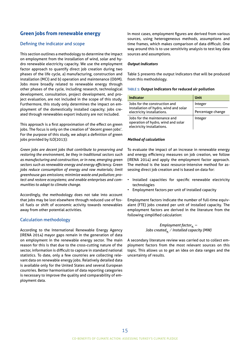# <span id="page-16-0"></span>**Green jobs from renewable energy**

## Defining the indicator and scope

This section outlines a methodology to determine the impact on employment from the installation of wind, solar and hydro renewable electricity capacity. We use the employment factor approach to quantify direct job creation during two phases of the life cycle, a) manufacturing, construction and installation (MCI) and b) operation and maintenance (O&M). Jobs more broadly related to renewable energy through other phases of the cycle, including research, technological development, consultation, project development, and project evaluation, are not included in the scope of this study. Furthermore, this study only determines the impact on employment of the domestically installed capacity; jobs created through renewables export industry are not included.

This approach is a first approximation of the effect on green jobs. The focus is only on the creation of 'decent green jobs'. For the purpose of this study, we adopt a definition of green jobs provided by ILO(2013):

*Green jobs are decent jobs that contribute to preserving and restoring the environment, be they in traditional sectors such as manufacturing and construction, or in new, emerging green sectors such as renewable energy and energy efficiency. Green jobs reduce consumption of energy and raw materials; limit greenhouse gas emissions; minimize waste and pollution; protect and restore ecosystems; and enable enterprises and communities to adapt to climate change.* 

Accordingly, the methodology does not take into account that jobs may be lost elsewhere through reduced use of fossil fuels or shift of economic activity towards renewables away from other potential activities.

#### Calculation methodology

According to the International Renewable Energy Agency (IRENA 2014) mayor gaps remain in the generation of data on employment in the renewable energy sector. The main reason for this is that due to the cross-cutting nature of the sector, information is difficult to capture in standard national statistics. To date, only a few countries are collecting relevant data on renewable energy jobs. Relatively detailed data is available only for the United States and several European countries. Better harmonisation of data reporting categories is necessary to improve the quality and comparability of employment data.

In most cases, employment figures are derived from various sources, using heterogeneous methods, assumptions and time frames, which makes comparison of data difficult. One way around this is to use sensitivity analysis to test key data sources and assumptions.

#### *Output indicators*

Table 5 presents the output indicators that will be produced from this methodology.

#### Table 5: **Output indicators for reduced air pollution**

| <b>Indicator</b>                                                                                 | <b>Unit</b>       |
|--------------------------------------------------------------------------------------------------|-------------------|
| Jobs for the construction and                                                                    | Integer           |
| installation of hydro, wind and solar<br>electricity installations.                              | Percentage change |
| Jobs for the maintenance and<br>operation of hydro, wind and solar<br>electricity installations. | Integer           |

#### *Method of calculation*

To evaluate the impact of an increase in renewable energy and energy efficiency measures on job creation, we follow (IRENA 2014) and apply the employment factor approach. The method is the least resource-intensive method for assessing direct job creation and is based on data for:

- Installed capacities for specific renewable electricity technologies
- Employment factors per unit of installed capacity

Employment factors indicate the number of full-time equivalent (FTE) jobs created per unit of installed capacity. The employment factors are derived in the literature from the following simplified calculation:

> *Employment factor* $_{\mathrm{R}}$  = *Jobs created*<sup>«</sup> / *Installed capacity (MW)*

A secondary literature review was carried out to collect employment factors from the most relevant sources on this topic. This allows us to get an idea on data ranges and the uncertainty of results.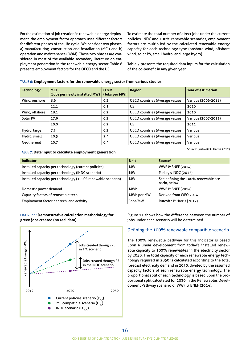For the estimation of job creation in renewable energy deployment, the employment factor approach uses different factors for different phases of the life cycle. We consider two phases: a) manufacturing, construction and installation (MCI) and b) operation and maintenance (O&M). These two phases are considered in most of the available secondary literature on employment generation in the renewable energy sector. Table 6 presents employment factors for the OECD and the US.

To estimate the total number of direct jobs under the current policies, INDC and 100% renewable scenarios, employment factors are multiplied by the calculated renewable energy capacity for each technology type (onshore wind, offshore wind, solar PV, small hydro, and large hydro).

Table 7 presents the required data inputs for the calculation of the co-benefit in any given year.

### Table 6: **Employment factors for the renewable energy sector from various studies**

| <b>Technology</b> | <b>MCI</b><br>(Jobs per newly installed MW) | 0 <sub>em</sub><br>(Jobs per MW) | <b>Region</b>                          | <b>Year of estimation</b> |
|-------------------|---------------------------------------------|----------------------------------|----------------------------------------|---------------------------|
| Wind, onshore     | 8.6                                         | 0.2                              | OECD countries (Average values)        | Various (2006-2011)       |
|                   | 12.1                                        | 0.1                              | US                                     | 2010                      |
| Wind, offshore    | 18.1                                        | 0.2                              | OECD countries (Average values)        | 2010                      |
| Solar PV          | 17.9                                        | 0.3                              | OECD countries (Average values)        | Various (2007-2011)       |
|                   | 20.0                                        | 0.2                              | US                                     | 2011                      |
| Hydro, large      | 7.5                                         | 0.3                              | OECD countries (Average values)        | Various                   |
| Hydro, small      | 20.5                                        | 2.4                              | <b>OECD countries (Average values)</b> | <b>Various</b>            |
| Geothermal        | 10.7                                        | 0.4                              | <b>OECD countries (Average values)</b> | Various                   |

Source: (Rutovitz & Harris 2012)

#### Table 7: **Data input to calculate employment generation**

| <b>Indicator</b>                                            | Unit       | Source*                                               |
|-------------------------------------------------------------|------------|-------------------------------------------------------|
| Installed capacity per technology (current policies)        | <b>MW</b>  | <b>WWF &amp; BNEF (2014)</b>                          |
| Installed capacity per technology (INDC scenario)           | <b>MW</b>  | Turkey's INDC (2015)                                  |
| Installed capacity per technology (100% renewable scenario) | <b>MW</b>  | See defining the 100% renewable sce-<br>nario, below. |
| Domestic power demand                                       | MWh        | <b>WWF &amp; BNEF (2014)</b>                          |
| Capacity factors of renewable tech.                         | MWh per MW | Derived from WEO 2014                                 |
| Employment factor per tech. and activity                    | Jobs/MW    | Rutovitz & Harris (2012)                              |

#### Figure 11: **Demonstrative calculation methodology for green jobs created (no real data)**



Figure 11 shows how the difference between the number of jobs under each scenario will be determined.

#### Defining the 100% renewable compatible scenario

The 100% renewable pathway for this indicator is based upon a linear development from today's installed renewable capacity to 100% renewables in the electricity sector by 2050. The total capacity of each renewable energy technology required in 2050 is calculated according to the total forecast electricity demand in 2050, divided by the assumed capacity factors of each renewable energy technology. The proportional split of each technology is based upon the proportional split calculated for 2030 in the Renewables Development Pathway scenario of WWF & BNEF (2014).